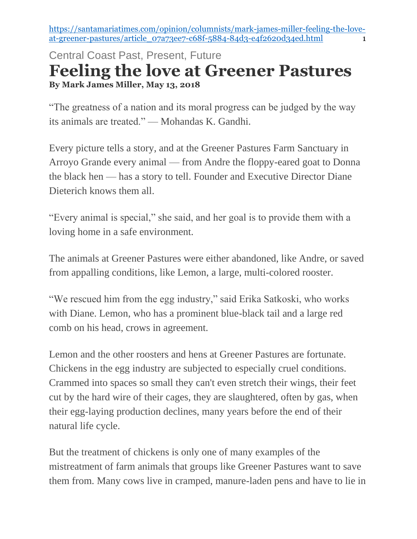[https://santamariatimes.com/opinion/columnists/mark-james-miller-feeling-the-love](https://santamariatimes.com/opinion/columnists/mark-james-miller-feeling-the-love-at-greener-pastures/article_07a73ee7-c68f-5884-84d3-e4f2620d34ed.html)[at-greener-pastures/article\\_07a73ee7-c68f-5884-84d3-e4f2620d34ed.html](https://santamariatimes.com/opinion/columnists/mark-james-miller-feeling-the-love-at-greener-pastures/article_07a73ee7-c68f-5884-84d3-e4f2620d34ed.html) 1

## Central Coast Past, Present, Future **Feeling the love at Greener Pastures By Mark James Miller, May 13, 2018**

"The greatness of a nation and its moral progress can be judged by the way its animals are treated." — Mohandas K. Gandhi.

Every picture tells a story, and at the Greener Pastures Farm Sanctuary in Arroyo Grande every animal — from Andre the floppy-eared goat to Donna the black hen — has a story to tell. Founder and Executive Director Diane Dieterich knows them all.

"Every animal is special," she said, and her goal is to provide them with a loving home in a safe environment.

The animals at Greener Pastures were either abandoned, like Andre, or saved from appalling conditions, like Lemon, a large, multi-colored rooster.

"We rescued him from the egg industry," said Erika Satkoski, who works with Diane. Lemon, who has a prominent blue-black tail and a large red comb on his head, crows in agreement.

Lemon and the other roosters and hens at Greener Pastures are fortunate. Chickens in the egg industry are subjected to especially cruel conditions. Crammed into spaces so small they can't even stretch their wings, their feet cut by the hard wire of their cages, they are slaughtered, often by gas, when their egg-laying production declines, many years before the end of their natural life cycle.

But the treatment of chickens is only one of many examples of the mistreatment of farm animals that groups like Greener Pastures want to save them from. Many cows live in cramped, manure-laden pens and have to lie in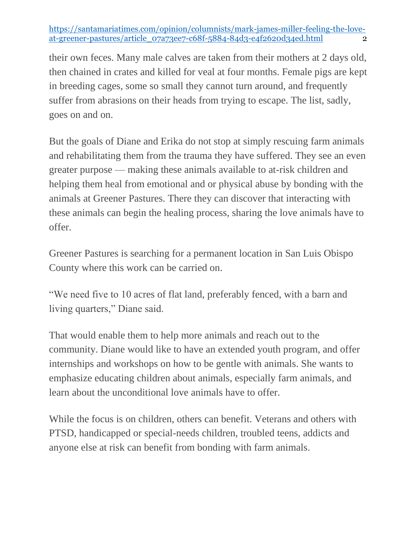[https://santamariatimes.com/opinion/columnists/mark-james-miller-feeling-the-love](https://santamariatimes.com/opinion/columnists/mark-james-miller-feeling-the-love-at-greener-pastures/article_07a73ee7-c68f-5884-84d3-e4f2620d34ed.html)[at-greener-pastures/article\\_07a73ee7-c68f-5884-84d3-e4f2620d34ed.html](https://santamariatimes.com/opinion/columnists/mark-james-miller-feeling-the-love-at-greener-pastures/article_07a73ee7-c68f-5884-84d3-e4f2620d34ed.html) 2

their own feces. Many male calves are taken from their mothers at 2 days old, then chained in crates and killed for veal at four months. Female pigs are kept in breeding cages, some so small they cannot turn around, and frequently suffer from abrasions on their heads from trying to escape. The list, sadly, goes on and on.

But the goals of Diane and Erika do not stop at simply rescuing farm animals and rehabilitating them from the trauma they have suffered. They see an even greater purpose — making these animals available to at-risk children and helping them heal from emotional and or physical abuse by bonding with the animals at Greener Pastures. There they can discover that interacting with these animals can begin the healing process, sharing the love animals have to offer.

Greener Pastures is searching for a permanent location in San Luis Obispo County where this work can be carried on.

"We need five to 10 acres of flat land, preferably fenced, with a barn and living quarters," Diane said.

That would enable them to help more animals and reach out to the community. Diane would like to have an extended youth program, and offer internships and workshops on how to be gentle with animals. She wants to emphasize educating children about animals, especially farm animals, and learn about the unconditional love animals have to offer.

While the focus is on children, others can benefit. Veterans and others with PTSD, handicapped or special-needs children, troubled teens, addicts and anyone else at risk can benefit from bonding with farm animals.